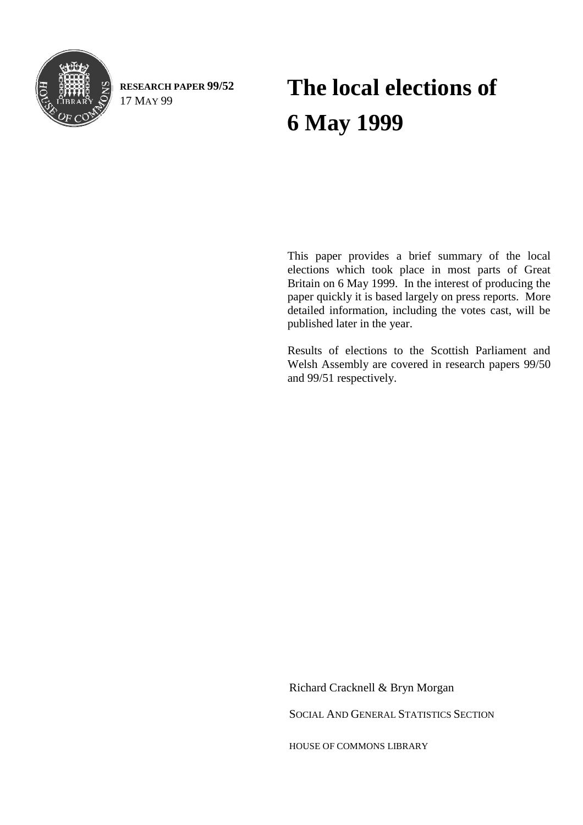

**RESEARCH PAPER 99/52** 17 MAY 99

# **The local elections of 6 May 1999**

This paper provides a brief summary of the local elections which took place in most parts of Great Britain on 6 May 1999. In the interest of producing the paper quickly it is based largely on press reports. More detailed information, including the votes cast, will be published later in the year.

Results of elections to the Scottish Parliament and Welsh Assembly are covered in research papers 99/50 and 99/51 respectively.

Richard Cracknell & Bryn Morgan

SOCIAL AND GENERAL STATISTICS SECTION

HOUSE OF COMMONS LIBRARY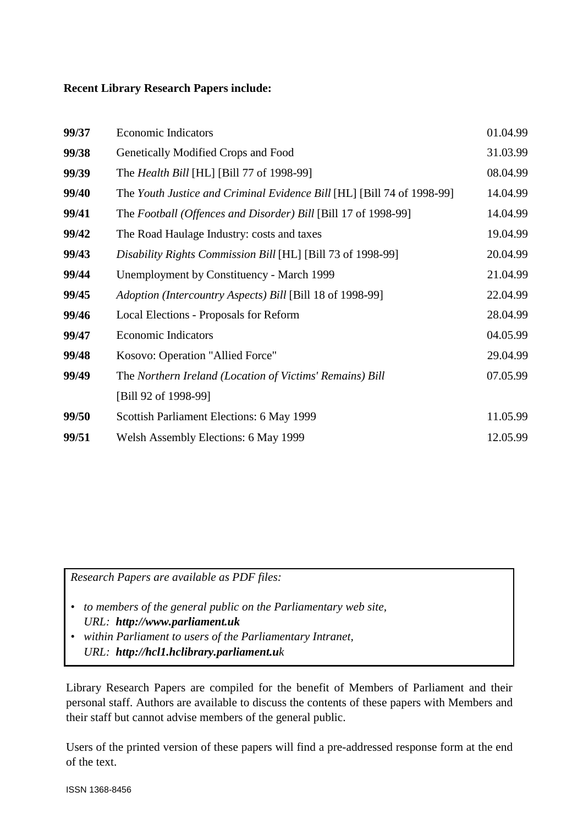### **Recent Library Research Papers include:**

| 99/37 | <b>Economic Indicators</b>                                             | 01.04.99 |
|-------|------------------------------------------------------------------------|----------|
| 99/38 | Genetically Modified Crops and Food                                    | 31.03.99 |
| 99/39 | The <i>Health Bill</i> [HL] [Bill 77 of 1998-99]                       | 08.04.99 |
| 99/40 | The Youth Justice and Criminal Evidence Bill [HL] [Bill 74 of 1998-99] | 14.04.99 |
| 99/41 | The Football (Offences and Disorder) Bill [Bill 17 of 1998-99]         | 14.04.99 |
| 99/42 | The Road Haulage Industry: costs and taxes                             | 19.04.99 |
| 99/43 | Disability Rights Commission Bill [HL] [Bill 73 of 1998-99]            | 20.04.99 |
| 99/44 | Unemployment by Constituency - March 1999                              | 21.04.99 |
| 99/45 | Adoption (Intercountry Aspects) Bill [Bill 18 of 1998-99]              | 22.04.99 |
| 99/46 | Local Elections - Proposals for Reform                                 | 28.04.99 |
| 99/47 | <b>Economic Indicators</b>                                             | 04.05.99 |
| 99/48 | Kosovo: Operation "Allied Force"                                       | 29.04.99 |
| 99/49 | The Northern Ireland (Location of Victims' Remains) Bill               | 07.05.99 |
|       | [Bill 92 of 1998-99]                                                   |          |
| 99/50 | Scottish Parliament Elections: 6 May 1999                              | 11.05.99 |
| 99/51 | <b>Welsh Assembly Elections: 6 May 1999</b>                            | 12.05.99 |

*Research Papers are available as PDF files:*

- *to members of the general public on the Parliamentary web site, URL: http://www.parliament.uk*
- *within Parliament to users of the Parliamentary Intranet, URL: http://hcl1.hclibrary.parliament.uk*

Library Research Papers are compiled for the benefit of Members of Parliament and their personal staff. Authors are available to discuss the contents of these papers with Members and their staff but cannot advise members of the general public.

Users of the printed version of these papers will find a pre-addressed response form at the end of the text.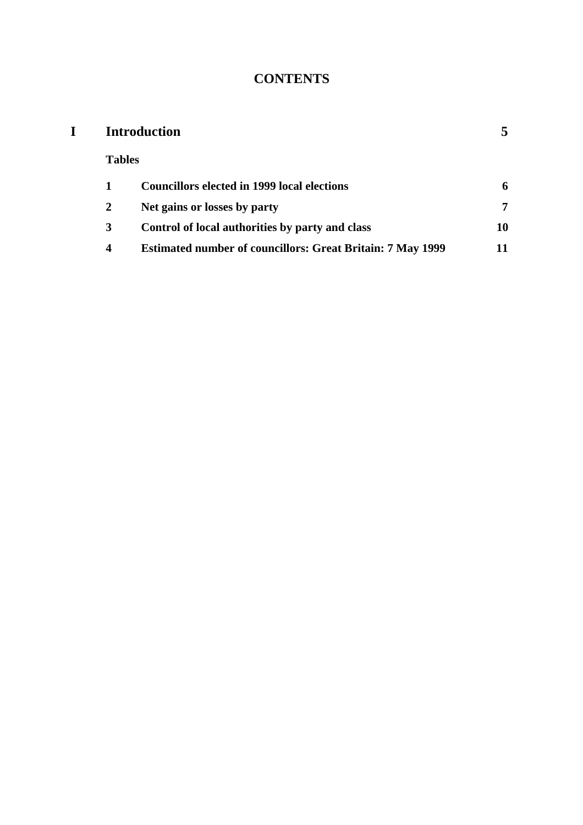# **CONTENTS**

| <b>Introduction</b> |                                                                   |    |  |
|---------------------|-------------------------------------------------------------------|----|--|
| <b>Tables</b>       |                                                                   |    |  |
|                     | <b>Councillors elected in 1999 local elections</b>                | 6  |  |
| 2                   | Net gains or losses by party                                      | 7  |  |
| 3                   | Control of local authorities by party and class                   | 10 |  |
| 4                   | <b>Estimated number of councillors: Great Britain: 7 May 1999</b> | 11 |  |
|                     |                                                                   |    |  |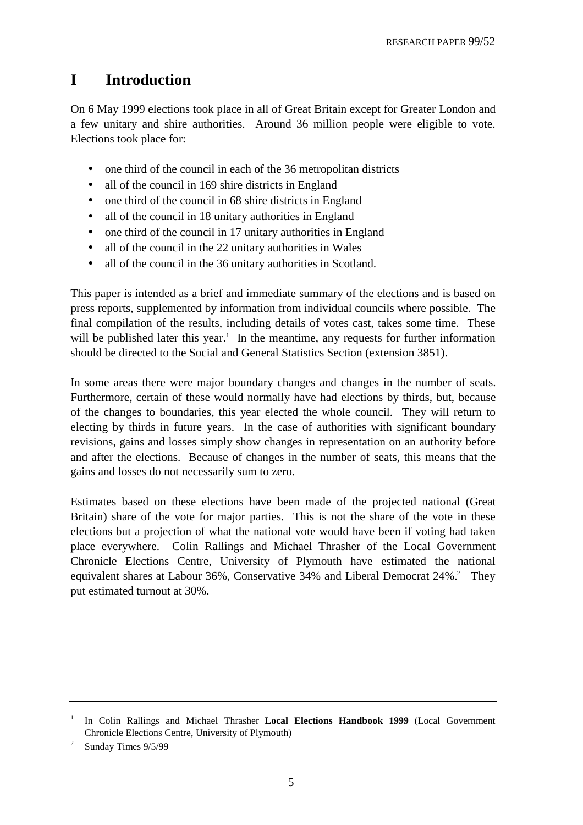## **I Introduction**

On 6 May 1999 elections took place in all of Great Britain except for Greater London and a few unitary and shire authorities. Around 36 million people were eligible to vote. Elections took place for:

- one third of the council in each of the 36 metropolitan districts
- all of the council in 169 shire districts in England
- one third of the council in 68 shire districts in England
- all of the council in 18 unitary authorities in England
- one third of the council in 17 unitary authorities in England
- all of the council in the 22 unitary authorities in Wales
- all of the council in the 36 unitary authorities in Scotland.

This paper is intended as a brief and immediate summary of the elections and is based on press reports, supplemented by information from individual councils where possible. The final compilation of the results, including details of votes cast, takes some time. These will be published later this year.<sup>1</sup> In the meantime, any requests for further information should be directed to the Social and General Statistics Section (extension 3851).

In some areas there were major boundary changes and changes in the number of seats. Furthermore, certain of these would normally have had elections by thirds, but, because of the changes to boundaries, this year elected the whole council. They will return to electing by thirds in future years. In the case of authorities with significant boundary revisions, gains and losses simply show changes in representation on an authority before and after the elections. Because of changes in the number of seats, this means that the gains and losses do not necessarily sum to zero.

Estimates based on these elections have been made of the projected national (Great Britain) share of the vote for major parties. This is not the share of the vote in these elections but a projection of what the national vote would have been if voting had taken place everywhere. Colin Rallings and Michael Thrasher of the Local Government Chronicle Elections Centre, University of Plymouth have estimated the national equivalent shares at Labour 36%, Conservative 34% and Liberal Democrat 24%.<sup>2</sup> They put estimated turnout at 30%.

<sup>1</sup> In Colin Rallings and Michael Thrasher **Local Elections Handbook 1999** (Local Government Chronicle Elections Centre, University of Plymouth)

 $\overline{2}$ Sunday Times 9/5/99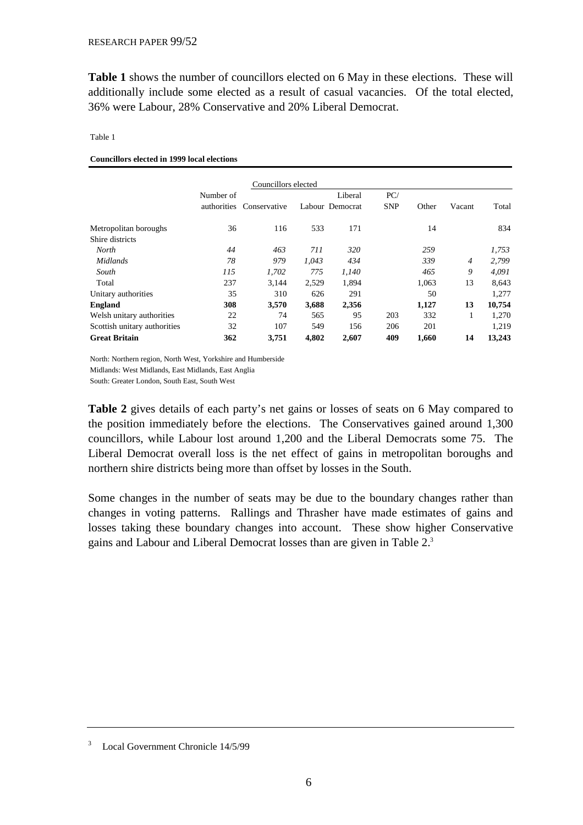**Table 1** shows the number of councillors elected on 6 May in these elections. These will additionally include some elected as a result of casual vacancies. Of the total elected, 36% were Labour, 28% Conservative and 20% Liberal Democrat.

#### Table 1

**Councillors elected in 1999 local elections**

| Councillors elected          |             |              |       |                 |            |       |                |        |
|------------------------------|-------------|--------------|-------|-----------------|------------|-------|----------------|--------|
|                              | Number of   |              |       | Liberal         | PC/        |       |                |        |
|                              | authorities | Conservative |       | Labour Democrat | <b>SNP</b> | Other | Vacant         | Total  |
| Metropolitan boroughs        | 36          | 116          | 533   | 171             |            | 14    |                | 834    |
| Shire districts              |             |              |       |                 |            |       |                |        |
| North                        | 44          | 463          | 711   | 320             |            | 259   |                | 1,753  |
| Midlands                     | 78          | 979          | 1.043 | 434             |            | 339   | $\overline{4}$ | 2,799  |
| South                        | 115         | 1,702        | 775   | 1,140           |            | 465   | 9              | 4,091  |
| Total                        | 237         | 3,144        | 2,529 | 1.894           |            | 1.063 | 13             | 8,643  |
| Unitary authorities          | 35          | 310          | 626   | 291             |            | 50    |                | 1,277  |
| <b>England</b>               | 308         | 3,570        | 3,688 | 2,356           |            | 1,127 | 13             | 10,754 |
| Welsh unitary authorities    | 22          | 74           | 565   | 95              | 203        | 332   | 1              | 1,270  |
| Scottish unitary authorities | 32          | 107          | 549   | 156             | 206        | 201   |                | 1,219  |
| <b>Great Britain</b>         | 362         | 3,751        | 4,802 | 2,607           | 409        | 1,660 | 14             | 13,243 |

North: Northern region, North West, Yorkshire and Humberside

Midlands: West Midlands, East Midlands, East Anglia

South: Greater London, South East, South West

**Table 2** gives details of each party's net gains or losses of seats on 6 May compared to the position immediately before the elections. The Conservatives gained around 1,300 councillors, while Labour lost around 1,200 and the Liberal Democrats some 75. The Liberal Democrat overall loss is the net effect of gains in metropolitan boroughs and northern shire districts being more than offset by losses in the South.

Some changes in the number of seats may be due to the boundary changes rather than changes in voting patterns. Rallings and Thrasher have made estimates of gains and losses taking these boundary changes into account. These show higher Conservative gains and Labour and Liberal Democrat losses than are given in Table 2.3

<sup>3</sup> Local Government Chronicle 14/5/99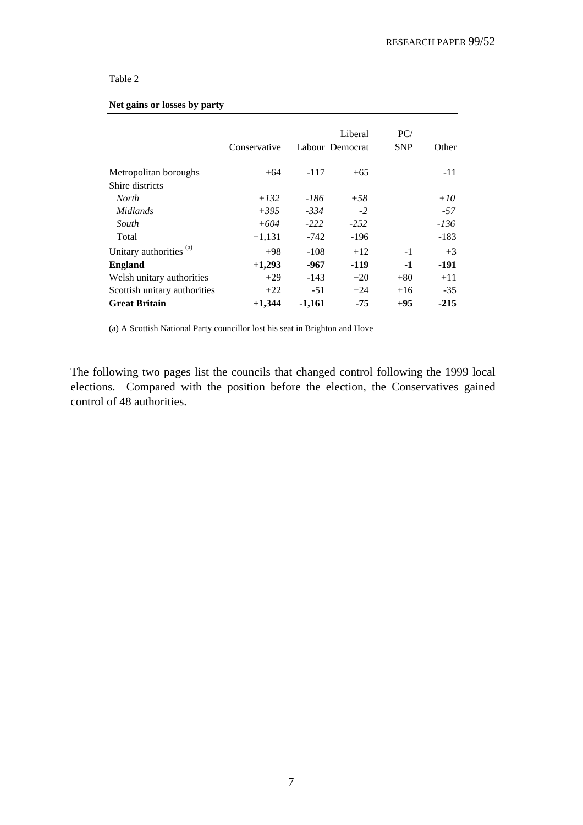### Table 2

#### **Net gains or losses by party**

|                                    | Conservative |          | Liberal<br>Labour Democrat | PC/<br><b>SNP</b> | Other  |
|------------------------------------|--------------|----------|----------------------------|-------------------|--------|
| Metropolitan boroughs              | $+64$        | $-117$   | $+65$                      |                   | $-11$  |
| Shire districts                    |              |          |                            |                   |        |
| North                              | $+132$       | $-186$   | $+58$                      |                   | $+10$  |
| Midlands                           | $+395$       | $-334$   | $-2$                       |                   | $-57$  |
| South                              | $+604$       | $-222$   | $-252$                     |                   | $-136$ |
| Total                              | $+1,131$     | $-742$   | $-196$                     |                   | $-183$ |
| Unitary authorities <sup>(a)</sup> | $+98$        | $-108$   | $+12$                      | $-1$              | $+3$   |
| <b>England</b>                     | $+1,293$     | $-967$   | $-119$                     | $-1$              | $-191$ |
| Welsh unitary authorities          | $+29$        | $-143$   | $+20$                      | $+80$             | $+11$  |
| Scottish unitary authorities       | $+22$        | $-51$    | $+24$                      | $+16$             | $-35$  |
| <b>Great Britain</b>               | $+1,344$     | $-1,161$ | $-75$                      | $+95$             | $-215$ |

(a) A Scottish National Party councillor lost his seat in Brighton and Hove

The following two pages list the councils that changed control following the 1999 local elections. Compared with the position before the election, the Conservatives gained control of 48 authorities.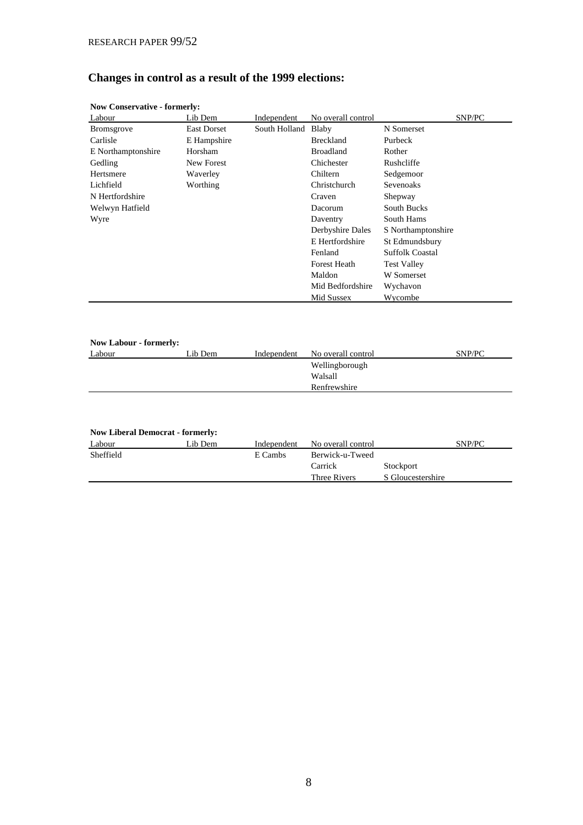# **Changes in control as a result of the 1999 elections:**

| Labour                        | Lib Dem           | Independent         | No overall control         | SNP/PC                 |
|-------------------------------|-------------------|---------------------|----------------------------|------------------------|
| <b>Bromsgrove</b>             | East Dorset       | South Holland Blaby |                            | N Somerset             |
| Carlisle                      | E Hampshire       |                     | <b>Breckland</b>           | Purbeck                |
| E Northamptonshire            | Horsham           |                     | <b>Broadland</b>           | Rother                 |
| Gedling                       | New Forest        |                     | Chichester                 | Rushcliffe             |
| Hertsmere                     | Waverley          |                     | Chiltern                   | Sedgemoor              |
| Lichfield                     | Worthing          |                     | Christchurch               | Sevenoaks              |
| N Hertfordshire               |                   |                     | Craven                     | Shepway                |
| Welwyn Hatfield               |                   |                     | <b>Dacorum</b>             | <b>South Bucks</b>     |
| Wyre                          |                   |                     | Daventry                   | South Hams             |
|                               |                   |                     | Derbyshire Dales           | S Northamptonshire     |
|                               |                   |                     | E Hertfordshire            | St Edmundsbury         |
|                               |                   |                     | Fenland                    | <b>Suffolk Coastal</b> |
|                               |                   |                     | <b>Forest Heath</b>        | <b>Test Valley</b>     |
|                               |                   |                     | Maldon                     | W Somerset             |
|                               |                   |                     | Mid Bedfordshire           | Wychavon               |
|                               |                   |                     | Mid Sussex                 | Wycombe                |
|                               |                   |                     |                            |                        |
| <b>Now Labour - formerly:</b> | $L_{\rm in}$ Dame |                     | Indonesiant Me executively | CND/DC                 |

### **Now Conservative - formerly:**

| <b>Now Labour - formerly:</b> |         |             |                    |        |
|-------------------------------|---------|-------------|--------------------|--------|
| Labour                        | Lib Dem | Independent | No overall control | SNP/PC |
|                               |         |             | Wellingborough     |        |
|                               |         |             | Walsall            |        |
|                               |         |             | Renfrewshire       |        |

| <b>Now Liberal Democrat - formerly:</b> |         |             |                    |                   |        |  |  |  |  |
|-----------------------------------------|---------|-------------|--------------------|-------------------|--------|--|--|--|--|
| Labour                                  | Lib Dem | Independent | No overall control |                   | SNP/PC |  |  |  |  |
| Sheffield                               |         | E Cambs     | Berwick-u-Tweed    |                   |        |  |  |  |  |
|                                         |         |             | Carrick            | Stockport         |        |  |  |  |  |
|                                         |         |             | Three Rivers       | S Gloucestershire |        |  |  |  |  |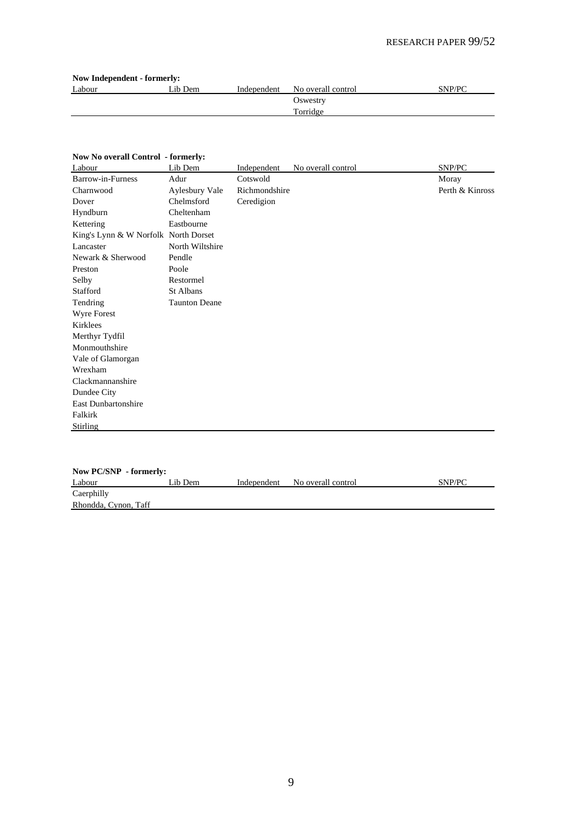| <b>Now Independent - formerly:</b> |         |             |                    |        |  |  |  |  |
|------------------------------------|---------|-------------|--------------------|--------|--|--|--|--|
| Labour                             | Lib Dem | Independent | No overall control | SNP/PC |  |  |  |  |
|                                    |         |             | Oswestry           |        |  |  |  |  |
|                                    |         |             | Torridge           |        |  |  |  |  |
|                                    |         |             |                    |        |  |  |  |  |

### **Now No overall Control - formerly:**

| Labour                               | Lib Dem              | Independent   | No overall control | SNP/PC          |
|--------------------------------------|----------------------|---------------|--------------------|-----------------|
| Barrow-in-Furness                    | Adur                 | Cotswold      |                    | Moray           |
| Charnwood                            | Aylesbury Vale       | Richmondshire |                    | Perth & Kinross |
| Dover                                | Chelmsford           | Ceredigion    |                    |                 |
| Hyndburn                             | Cheltenham           |               |                    |                 |
| Kettering                            | Eastbourne           |               |                    |                 |
| King's Lynn & W Norfolk North Dorset |                      |               |                    |                 |
| Lancaster                            | North Wiltshire      |               |                    |                 |
| Newark & Sherwood                    | Pendle               |               |                    |                 |
| Preston                              | Poole                |               |                    |                 |
| Selby                                | Restormel            |               |                    |                 |
| Stafford                             | St Albans            |               |                    |                 |
| Tendring                             | <b>Taunton Deane</b> |               |                    |                 |
| <b>Wyre Forest</b>                   |                      |               |                    |                 |
| Kirklees                             |                      |               |                    |                 |
| Merthyr Tydfil                       |                      |               |                    |                 |
| Monmouthshire                        |                      |               |                    |                 |
| Vale of Glamorgan                    |                      |               |                    |                 |
| Wrexham                              |                      |               |                    |                 |
| Clackmannanshire                     |                      |               |                    |                 |
| Dundee City                          |                      |               |                    |                 |
| East Dunbartonshire                  |                      |               |                    |                 |
| Falkirk                              |                      |               |                    |                 |
| Stirling                             |                      |               |                    |                 |
|                                      |                      |               |                    |                 |

| Now PC/SNP - formerly: |         |             |                    |        |  |  |  |  |  |
|------------------------|---------|-------------|--------------------|--------|--|--|--|--|--|
| Labour                 | Lib Dem | Independent | No overall control | SNP/PC |  |  |  |  |  |
| Caerphilly             |         |             |                    |        |  |  |  |  |  |
| Rhondda, Cynon, Taff   |         |             |                    |        |  |  |  |  |  |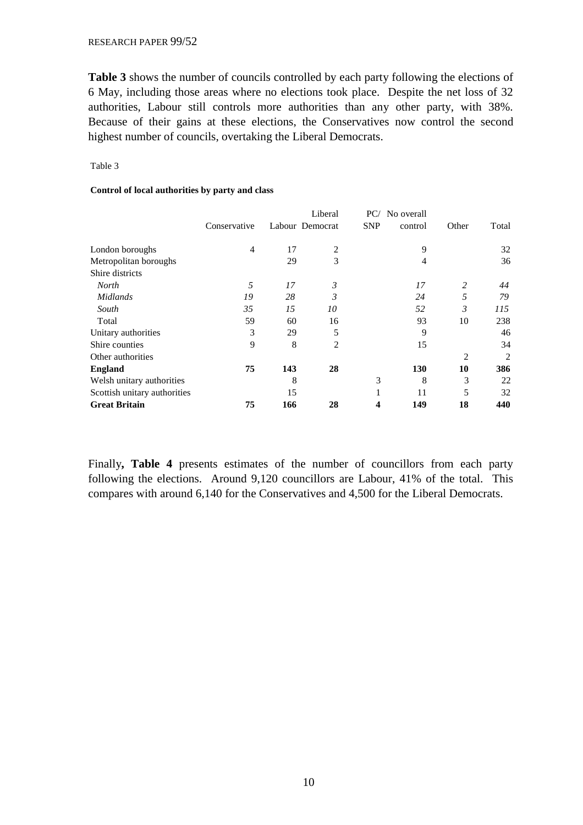**Table 3** shows the number of councils controlled by each party following the elections of 6 May, including those areas where no elections took place. Despite the net loss of 32 authorities, Labour still controls more authorities than any other party, with 38%. Because of their gains at these elections, the Conservatives now control the second highest number of councils, overtaking the Liberal Democrats.

### Table 3

### **Control of local authorities by party and class**

|                              | Conservative   |     | Liberal<br>Labour Democrat | PC/<br><b>SNP</b> | No overall<br>control | Other          | Total |
|------------------------------|----------------|-----|----------------------------|-------------------|-----------------------|----------------|-------|
| London boroughs              | $\overline{4}$ | 17  | $\overline{2}$             |                   | 9                     |                | 32    |
| Metropolitan boroughs        |                | 29  | 3                          |                   | 4                     |                | 36    |
| Shire districts              |                |     |                            |                   |                       |                |       |
| <b>North</b>                 | 5              | 17  | 3                          |                   | 17                    | 2              | 44    |
| <b>Midlands</b>              | 19             | 28  | 3                          |                   | 24                    | 5              | 79    |
| South                        | 35             | 15  | 10                         |                   | 52                    | 3              | 115   |
| Total                        | 59             | 60  | 16                         |                   | 93                    | 10             | 238   |
| Unitary authorities          | 3              | 29  | 5                          |                   | 9                     |                | 46    |
| Shire counties               | 9              | 8   | $\overline{2}$             |                   | 15                    |                | 34    |
| Other authorities            |                |     |                            |                   |                       | $\overline{2}$ | 2     |
| <b>England</b>               | 75             | 143 | 28                         |                   | 130                   | 10             | 386   |
| Welsh unitary authorities    |                | 8   |                            | 3                 | 8                     | 3              | 22    |
| Scottish unitary authorities |                | 15  |                            | 1                 | 11                    | 5              | 32    |
| <b>Great Britain</b>         | 75             | 166 | 28                         | 4                 | 149                   | 18             | 440   |

Finally**, Table 4** presents estimates of the number of councillors from each party following the elections. Around 9,120 councillors are Labour, 41% of the total. This compares with around 6,140 for the Conservatives and 4,500 for the Liberal Democrats.